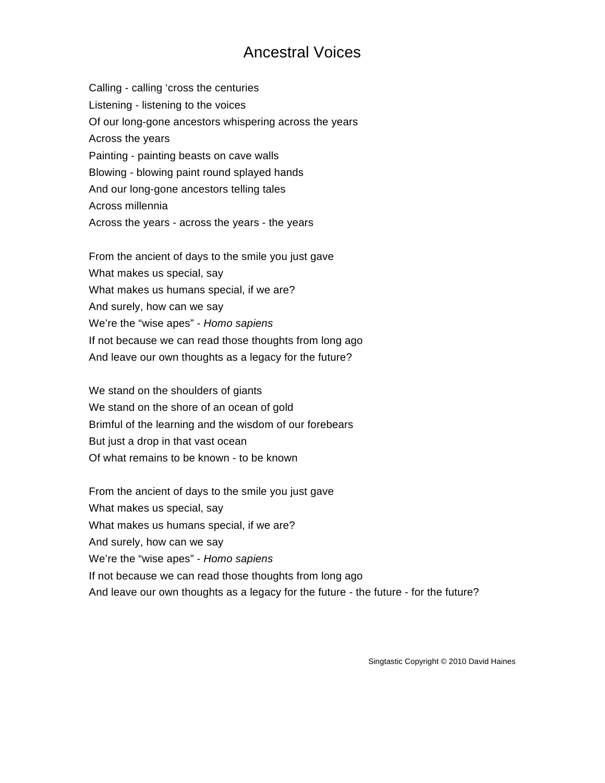## Ancestral Voices

Calling - calling 'cross the centuries Listening - listening to the voices Of our long-gone ancestors whispering across the years Across the years Painting - painting beasts on cave walls Blowing - blowing paint round splayed hands And our long-gone ancestors telling tales Across millennia Across the years - across the years - the years

From the ancient of days to the smile you just gave What makes us special, say What makes us humans special, if we are? And surely, how can we say We're the "wise apes" - *Homo sapiens* If not because we can read those thoughts from long ago And leave our own thoughts as a legacy for the future?

We stand on the shoulders of giants We stand on the shore of an ocean of gold Brimful of the learning and the wisdom of our forebears But just a drop in that vast ocean Of what remains to be known - to be known

From the ancient of days to the smile you just gave What makes us special, say What makes us humans special, if we are? And surely, how can we say We're the "wise apes" - *Homo sapiens* If not because we can read those thoughts from long ago And leave our own thoughts as a legacy for the future - the future - for the future?

Singtastic Copyright © 2010 David Haines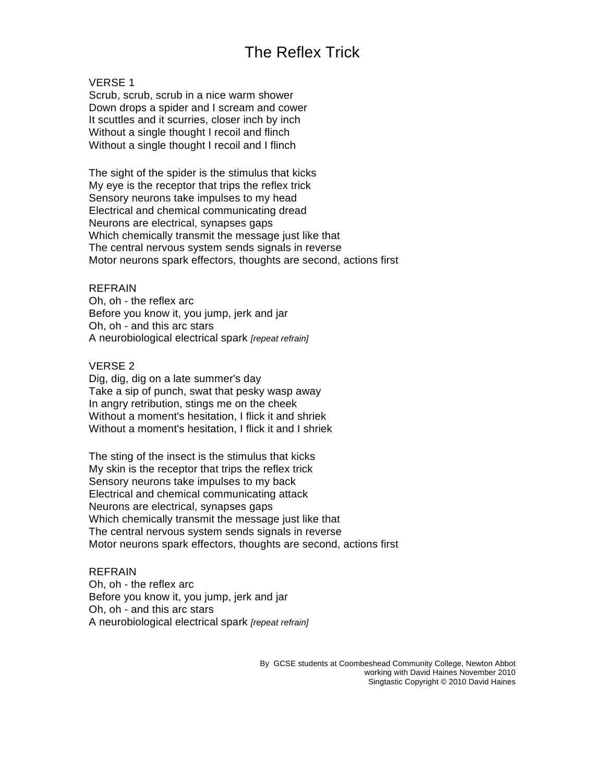# The Reflex Trick

### VERSE 1

Scrub, scrub, scrub in a nice warm shower Down drops a spider and I scream and cower It scuttles and it scurries, closer inch by inch Without a single thought I recoil and flinch Without a single thought I recoil and I flinch

The sight of the spider is the stimulus that kicks My eye is the receptor that trips the reflex trick Sensory neurons take impulses to my head Electrical and chemical communicating dread Neurons are electrical, synapses gaps Which chemically transmit the message just like that The central nervous system sends signals in reverse Motor neurons spark effectors, thoughts are second, actions first

### REFRAIN

Oh, oh - the reflex arc Before you know it, you jump, jerk and jar Oh, oh - and this arc stars A neurobiological electrical spark *[repeat refrain]*

### VERSE 2

Dig, dig, dig on a late summer's day Take a sip of punch, swat that pesky wasp away In angry retribution, stings me on the cheek Without a moment's hesitation, I flick it and shriek Without a moment's hesitation, I flick it and I shriek

The sting of the insect is the stimulus that kicks My skin is the receptor that trips the reflex trick Sensory neurons take impulses to my back Electrical and chemical communicating attack Neurons are electrical, synapses gaps Which chemically transmit the message just like that The central nervous system sends signals in reverse Motor neurons spark effectors, thoughts are second, actions first

### REFRAIN

Oh, oh - the reflex arc Before you know it, you jump, jerk and jar Oh, oh - and this arc stars A neurobiological electrical spark *[repeat refrain]*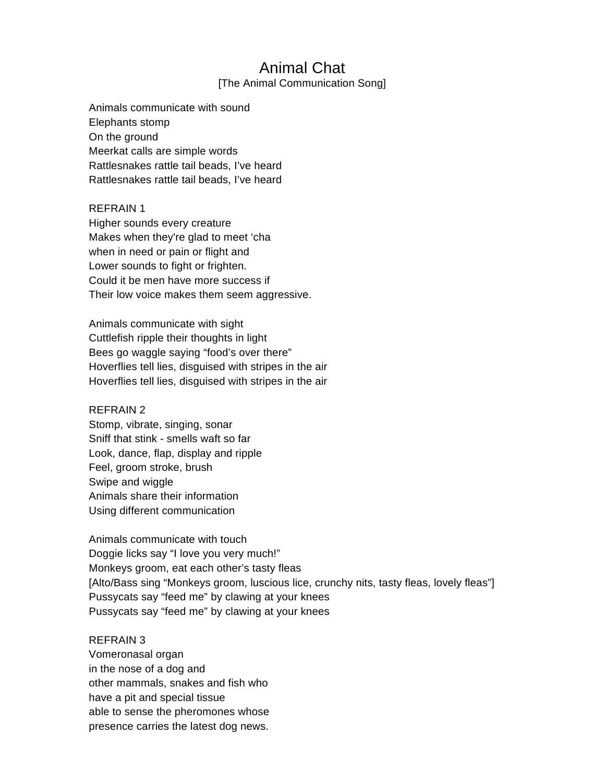### Animal Chat

[The Animal Communication Song]

Animals communicate with sound Elephants stomp On the ground Meerkat calls are simple words Rattlesnakes rattle tail beads, I've heard Rattlesnakes rattle tail beads, I've heard

### REFRAIN 1

Higher sounds every creature Makes when they're glad to meet 'cha when in need or pain or flight and Lower sounds to fight or frighten. Could it be men have more success if Their low voice makes them seem aggressive.

Animals communicate with sight Cuttlefish ripple their thoughts in light Bees go waggle saying "food's over there" Hoverflies tell lies, disguised with stripes in the air Hoverflies tell lies, disguised with stripes in the air

### REFRAIN 2

Stomp, vibrate, singing, sonar Sniff that stink - smells waft so far Look, dance, flap, display and ripple Feel, groom stroke, brush Swipe and wiggle Animals share their information Using different communication

Animals communicate with touch Doggie licks say "I love you very much!" Monkeys groom, eat each other's tasty fleas [Alto/Bass sing "Monkeys groom, luscious lice, crunchy nits, tasty fleas, lovely fleas"] Pussycats say "feed me" by clawing at your knees Pussycats say "feed me" by clawing at your knees

### REFRAIN 3

Vomeronasal organ in the nose of a dog and other mammals, snakes and fish who have a pit and special tissue able to sense the pheromones whose presence carries the latest dog news.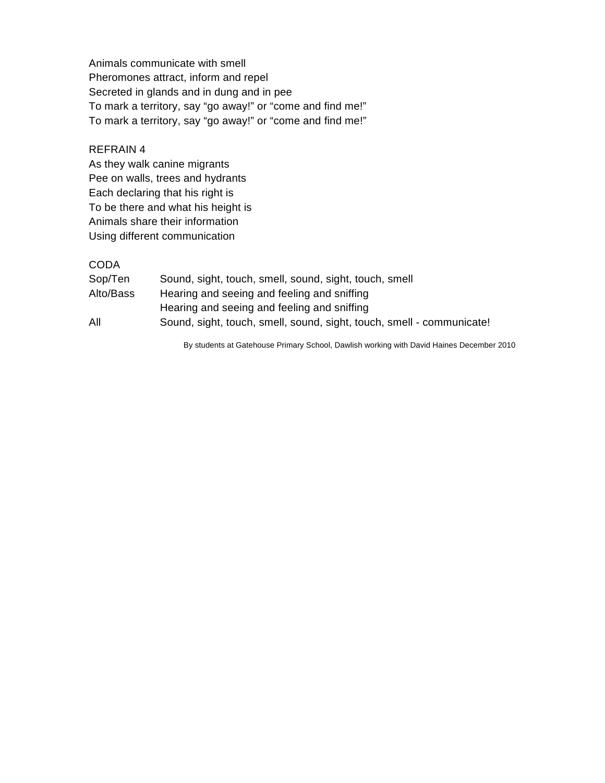Animals communicate with smell Pheromones attract, inform and repel Secreted in glands and in dung and in pee To mark a territory, say "go away!" or "come and find me!" To mark a territory, say "go away!" or "come and find me!"

### REFRAIN 4

As they walk canine migrants Pee on walls, trees and hydrants Each declaring that his right is To be there and what his height is Animals share their information Using different communication

### **CODA**

| Sop/Ten   | Sound, sight, touch, smell, sound, sight, touch, smell                |
|-----------|-----------------------------------------------------------------------|
| Alto/Bass | Hearing and seeing and feeling and sniffing                           |
|           | Hearing and seeing and feeling and sniffing                           |
| All       | Sound, sight, touch, smell, sound, sight, touch, smell - communicate! |

By students at Gatehouse Primary School, Dawlish working with David Haines December 2010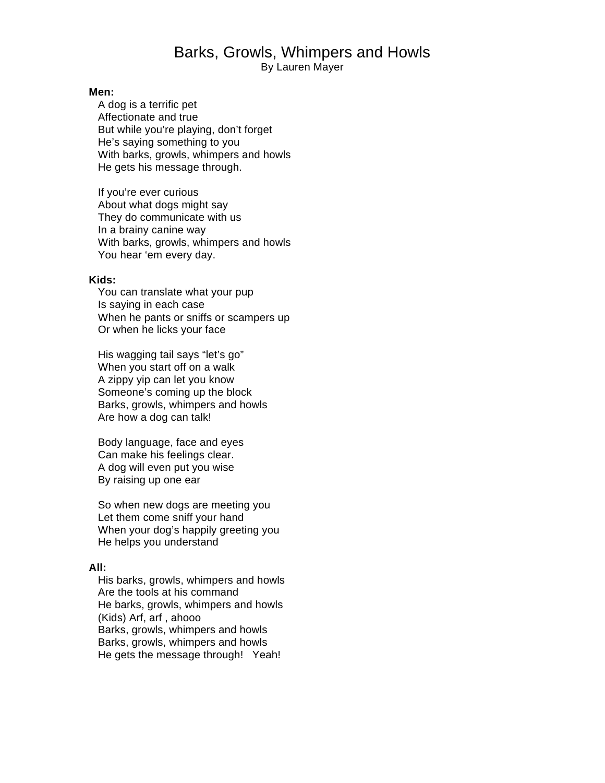## Barks, Growls, Whimpers and Howls

By Lauren Mayer

#### **Men:**

 A dog is a terrific pet Affectionate and true But while you're playing, don't forget He's saying something to you With barks, growls, whimpers and howls He gets his message through.

 If you're ever curious About what dogs might say They do communicate with us In a brainy canine way With barks, growls, whimpers and howls You hear 'em every day.

#### **Kids:**

 You can translate what your pup Is saying in each case When he pants or sniffs or scampers up Or when he licks your face

 His wagging tail says "let's go" When you start off on a walk A zippy yip can let you know Someone's coming up the block Barks, growls, whimpers and howls Are how a dog can talk!

 Body language, face and eyes Can make his feelings clear. A dog will even put you wise By raising up one ear

 So when new dogs are meeting you Let them come sniff your hand When your dog's happily greeting you He helps you understand

### **All:**

 His barks, growls, whimpers and howls Are the tools at his command He barks, growls, whimpers and howls (Kids) Arf, arf , ahooo Barks, growls, whimpers and howls Barks, growls, whimpers and howls He gets the message through! Yeah!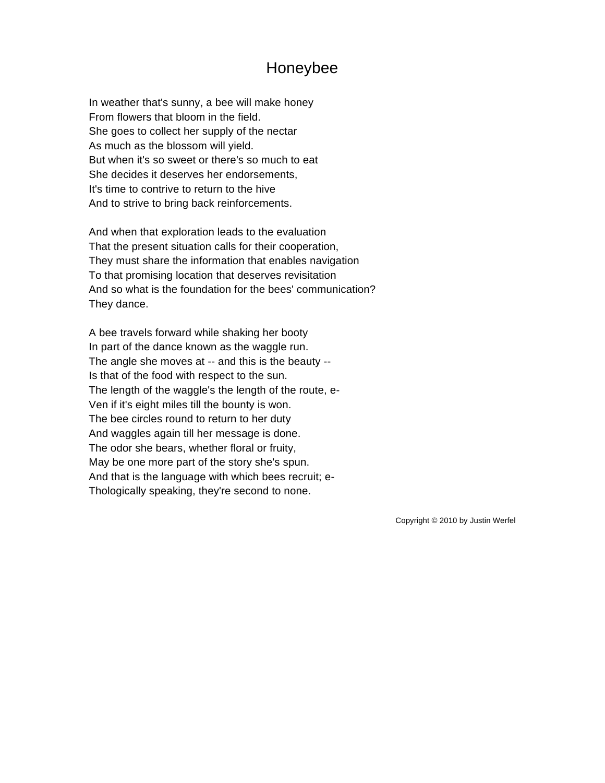## Honeybee

In weather that's sunny, a bee will make honey From flowers that bloom in the field. She goes to collect her supply of the nectar As much as the blossom will yield. But when it's so sweet or there's so much to eat She decides it deserves her endorsements, It's time to contrive to return to the hive And to strive to bring back reinforcements.

And when that exploration leads to the evaluation That the present situation calls for their cooperation, They must share the information that enables navigation To that promising location that deserves revisitation And so what is the foundation for the bees' communication? They dance.

A bee travels forward while shaking her booty In part of the dance known as the waggle run. The angle she moves at -- and this is the beauty -- Is that of the food with respect to the sun. The length of the waggle's the length of the route, e-Ven if it's eight miles till the bounty is won. The bee circles round to return to her duty And waggles again till her message is done. The odor she bears, whether floral or fruity, May be one more part of the story she's spun. And that is the language with which bees recruit; e-Thologically speaking, they're second to none.

Copyright © 2010 by Justin Werfel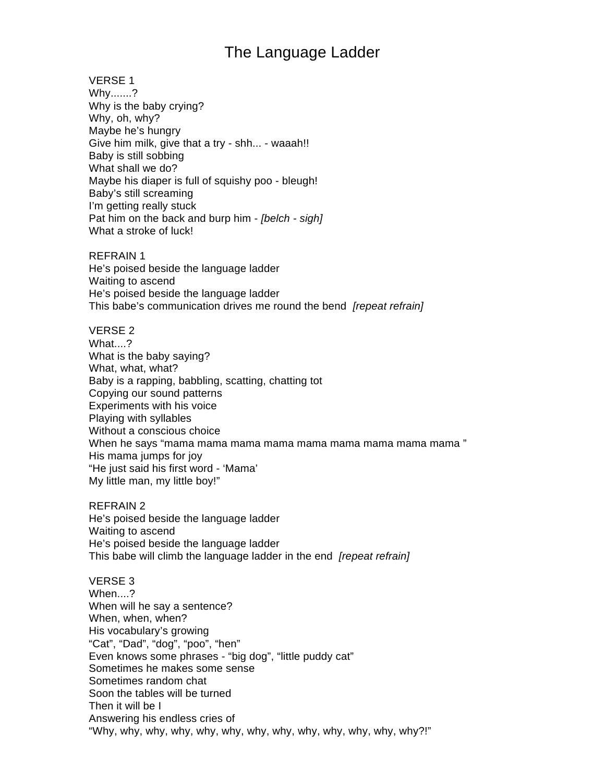# The Language Ladder

VERSE 1 Why.......? Why is the baby crying? Why, oh, why? Maybe he's hungry Give him milk, give that a try - shh... - waaah!! Baby is still sobbing What shall we do? Maybe his diaper is full of squishy poo - bleugh! Baby's still screaming I'm getting really stuck Pat him on the back and burp him - *[belch - sigh]* What a stroke of luck!

REFRAIN 1 He's poised beside the language ladder Waiting to ascend He's poised beside the language ladder This babe's communication drives me round the bend *[repeat refrain]*

VERSE 2 What....? What is the baby saying? What, what, what? Baby is a rapping, babbling, scatting, chatting tot Copying our sound patterns Experiments with his voice Playing with syllables Without a conscious choice When he says "mama mama mama mama mama mama mama mama mama " His mama jumps for joy "He just said his first word - 'Mama' My little man, my little boy!"

REFRAIN 2 He's poised beside the language ladder Waiting to ascend He's poised beside the language ladder This babe will climb the language ladder in the end *[repeat refrain]*

VERSE 3 When...? When will he say a sentence? When, when, when? His vocabulary's growing "Cat", "Dad", "dog", "poo", "hen" Even knows some phrases - "big dog", "little puddy cat" Sometimes he makes some sense Sometimes random chat Soon the tables will be turned Then it will be I Answering his endless cries of "Why, why, why, why, why, why, why, why, why, why, why, why, why?!"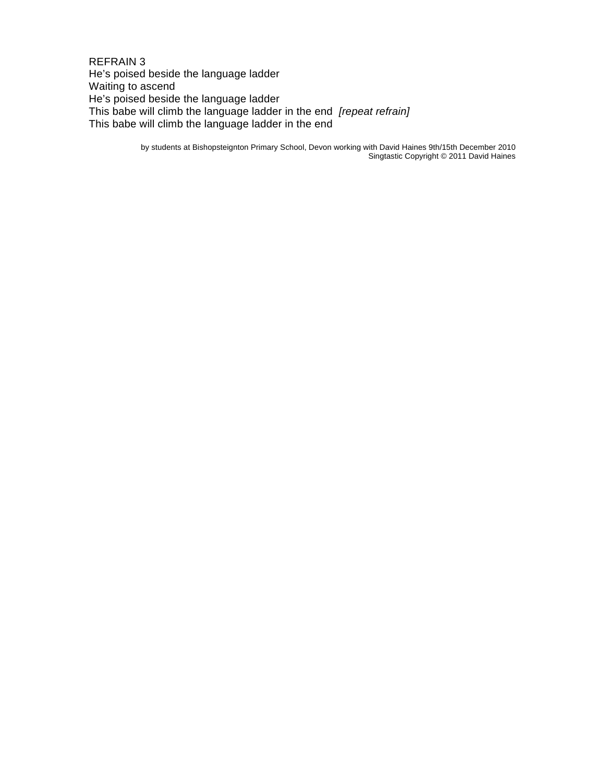REFRAIN 3 He's poised beside the language ladder Waiting to ascend He's poised beside the language ladder This babe will climb the language ladder in the end *[repeat refrain]* This babe will climb the language ladder in the end

> by students at Bishopsteignton Primary School, Devon working with David Haines 9th/15th December 2010 Singtastic Copyright © 2011 David Haines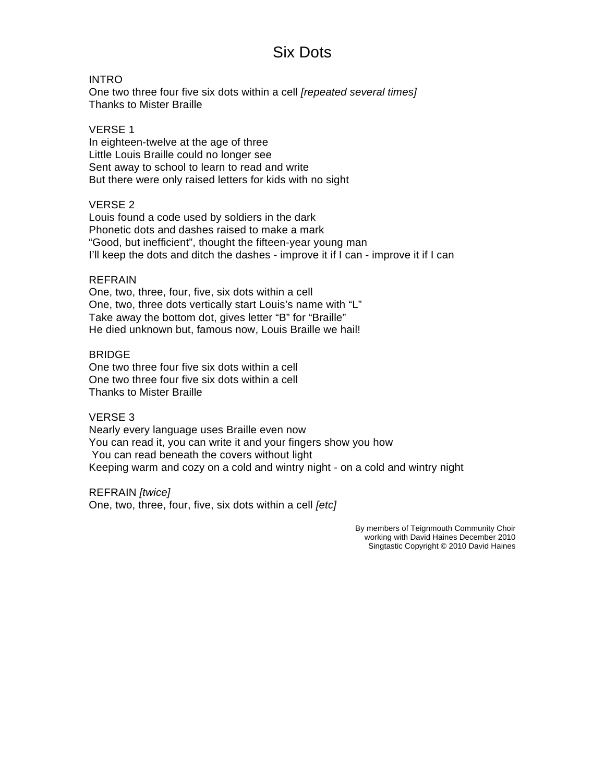# Six Dots

### INTRO

One two three four five six dots within a cell *[repeated several times]* Thanks to Mister Braille

### VERSE 1

In eighteen-twelve at the age of three Little Louis Braille could no longer see Sent away to school to learn to read and write But there were only raised letters for kids with no sight

### VERSE 2

Louis found a code used by soldiers in the dark Phonetic dots and dashes raised to make a mark "Good, but inefficient", thought the fifteen-year young man I'll keep the dots and ditch the dashes - improve it if I can - improve it if I can

### REFRAIN

One, two, three, four, five, six dots within a cell One, two, three dots vertically start Louis's name with "L" Take away the bottom dot, gives letter "B" for "Braille" He died unknown but, famous now, Louis Braille we hail!

### BRIDGE

One two three four five six dots within a cell One two three four five six dots within a cell Thanks to Mister Braille

#### VERSE 3

Nearly every language uses Braille even now You can read it, you can write it and your fingers show you how You can read beneath the covers without light Keeping warm and cozy on a cold and wintry night - on a cold and wintry night

REFRAIN *[twice]*  One, two, three, four, five, six dots within a cell *[etc]* 

> By members of Teignmouth Community Choir working with David Haines December 2010 Singtastic Copyright © 2010 David Haines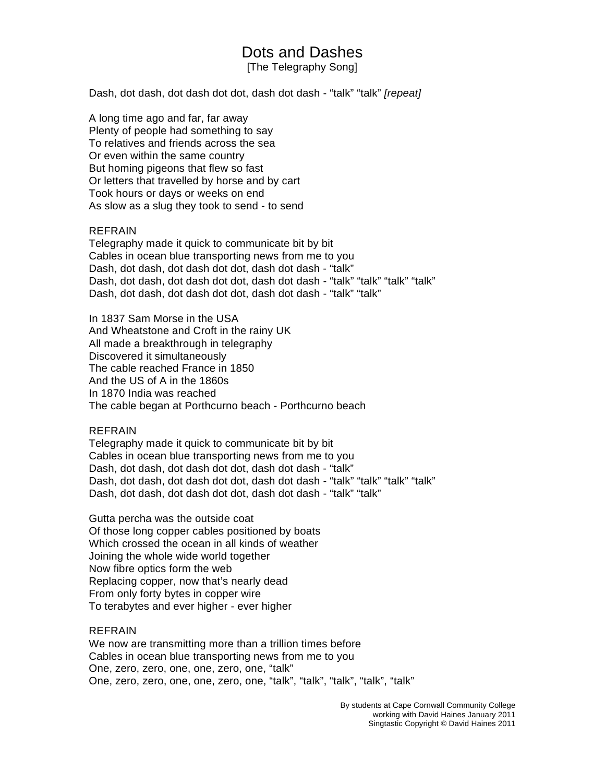## Dots and Dashes

[The Telegraphy Song]

Dash, dot dash, dot dash dot dot, dash dot dash - "talk" "talk" *[repeat]*

A long time ago and far, far away Plenty of people had something to say To relatives and friends across the sea Or even within the same country But homing pigeons that flew so fast Or letters that travelled by horse and by cart Took hours or days or weeks on end As slow as a slug they took to send - to send

### REFRAIN

Telegraphy made it quick to communicate bit by bit Cables in ocean blue transporting news from me to you Dash, dot dash, dot dash dot dot, dash dot dash - "talk" Dash, dot dash, dot dash dot dot, dash dot dash - "talk" "talk" "talk" "talk" Dash, dot dash, dot dash dot dot, dash dot dash - "talk" "talk"

In 1837 Sam Morse in the USA And Wheatstone and Croft in the rainy UK All made a breakthrough in telegraphy Discovered it simultaneously The cable reached France in 1850 And the US of A in the 1860s In 1870 India was reached The cable began at Porthcurno beach - Porthcurno beach

#### REFRAIN

Telegraphy made it quick to communicate bit by bit Cables in ocean blue transporting news from me to you Dash, dot dash, dot dash dot dot, dash dot dash - "talk" Dash, dot dash, dot dash dot dot, dash dot dash - "talk" "talk" "talk" "talk" Dash, dot dash, dot dash dot dot, dash dot dash - "talk" "talk"

Gutta percha was the outside coat Of those long copper cables positioned by boats Which crossed the ocean in all kinds of weather Joining the whole wide world together Now fibre optics form the web Replacing copper, now that's nearly dead From only forty bytes in copper wire To terabytes and ever higher - ever higher

### REFRAIN

We now are transmitting more than a trillion times before Cables in ocean blue transporting news from me to you One, zero, zero, one, one, zero, one, "talk" One, zero, zero, one, one, zero, one, "talk", "talk", "talk", "talk", "talk"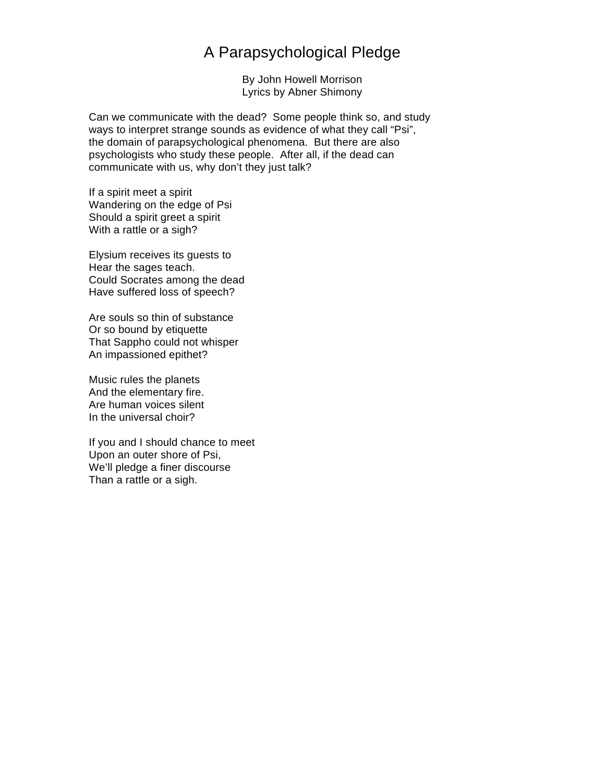## A Parapsychological Pledge

By John Howell Morrison Lyrics by Abner Shimony

Can we communicate with the dead? Some people think so, and study ways to interpret strange sounds as evidence of what they call "Psi", the domain of parapsychological phenomena. But there are also psychologists who study these people. After all, if the dead can communicate with us, why don't they just talk?

If a spirit meet a spirit Wandering on the edge of Psi Should a spirit greet a spirit With a rattle or a sigh?

Elysium receives its guests to Hear the sages teach. Could Socrates among the dead Have suffered loss of speech?

Are souls so thin of substance Or so bound by etiquette That Sappho could not whisper An impassioned epithet?

Music rules the planets And the elementary fire. Are human voices silent In the universal choir?

If you and I should chance to meet Upon an outer shore of Psi, We'll pledge a finer discourse Than a rattle or a sigh.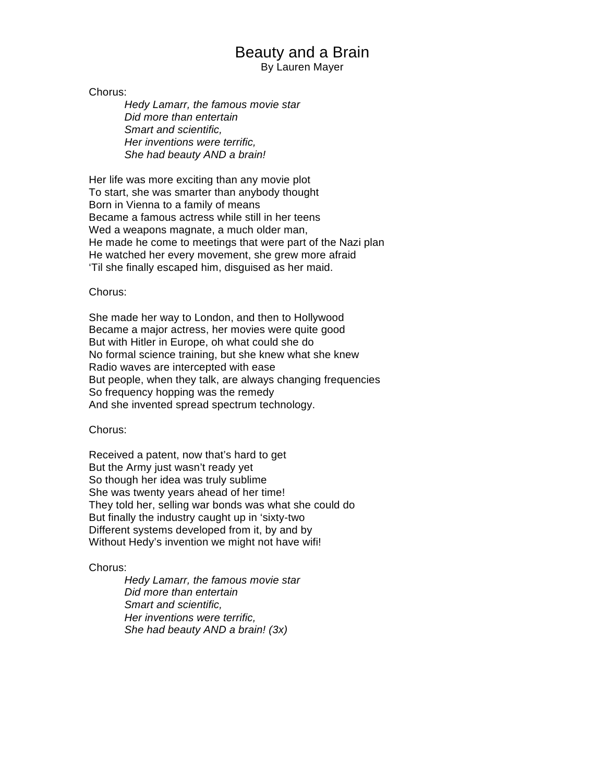## Beauty and a Brain

By Lauren Mayer

Chorus:

*Hedy Lamarr, the famous movie star Did more than entertain Smart and scientific, Her inventions were terrific, She had beauty AND a brain!* 

Her life was more exciting than any movie plot To start, she was smarter than anybody thought Born in Vienna to a family of means Became a famous actress while still in her teens Wed a weapons magnate, a much older man. He made he come to meetings that were part of the Nazi plan He watched her every movement, she grew more afraid 'Til she finally escaped him, disguised as her maid.

### Chorus:

She made her way to London, and then to Hollywood Became a major actress, her movies were quite good But with Hitler in Europe, oh what could she do No formal science training, but she knew what she knew Radio waves are intercepted with ease But people, when they talk, are always changing frequencies So frequency hopping was the remedy And she invented spread spectrum technology.

### Chorus:

Received a patent, now that's hard to get But the Army just wasn't ready yet So though her idea was truly sublime She was twenty years ahead of her time! They told her, selling war bonds was what she could do But finally the industry caught up in 'sixty-two Different systems developed from it, by and by Without Hedy's invention we might not have wifi!

### Chorus:

*Hedy Lamarr, the famous movie star Did more than entertain Smart and scientific, Her inventions were terrific, She had beauty AND a brain! (3x)*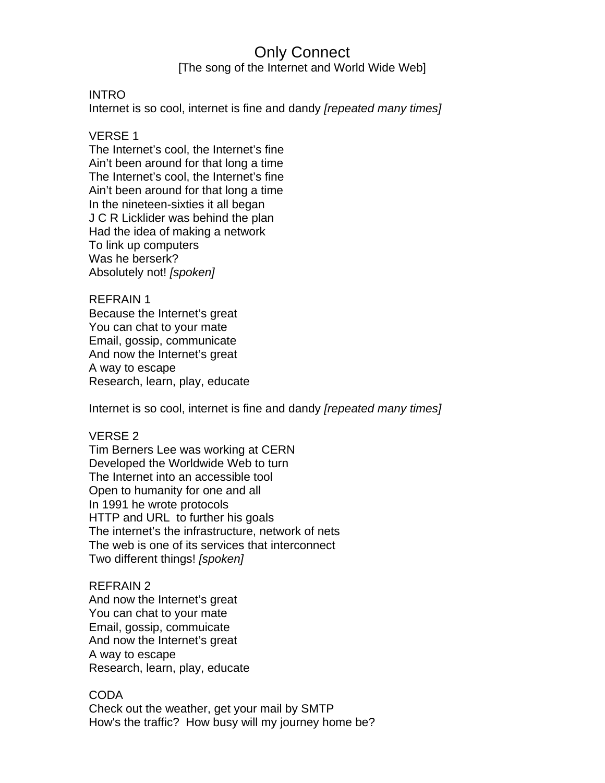# Only Connect

[The song of the Internet and World Wide Web]

### INTRO

Internet is so cool, internet is fine and dandy *[repeated many times]*

### VERSE 1

The Internet's cool, the Internet's fine Ain't been around for that long a time The Internet's cool, the Internet's fine Ain't been around for that long a time In the nineteen-sixties it all began J C R Licklider was behind the plan Had the idea of making a network To link up computers Was he berserk? Absolutely not! *[spoken]*

### REFRAIN 1

Because the Internet's great You can chat to your mate Email, gossip, communicate And now the Internet's great A way to escape Research, learn, play, educate

Internet is so cool, internet is fine and dandy *[repeated many times]*

### VERSE 2

Tim Berners Lee was working at CERN Developed the Worldwide Web to turn The Internet into an accessible tool Open to humanity for one and all In 1991 he wrote protocols HTTP and URL to further his goals The internet's the infrastructure, network of nets The web is one of its services that interconnect Two different things! *[spoken]*

## REFRAIN 2

And now the Internet's great You can chat to your mate Email, gossip, commuicate And now the Internet's great A way to escape Research, learn, play, educate

### CODA

Check out the weather, get your mail by SMTP How's the traffic? How busy will my journey home be?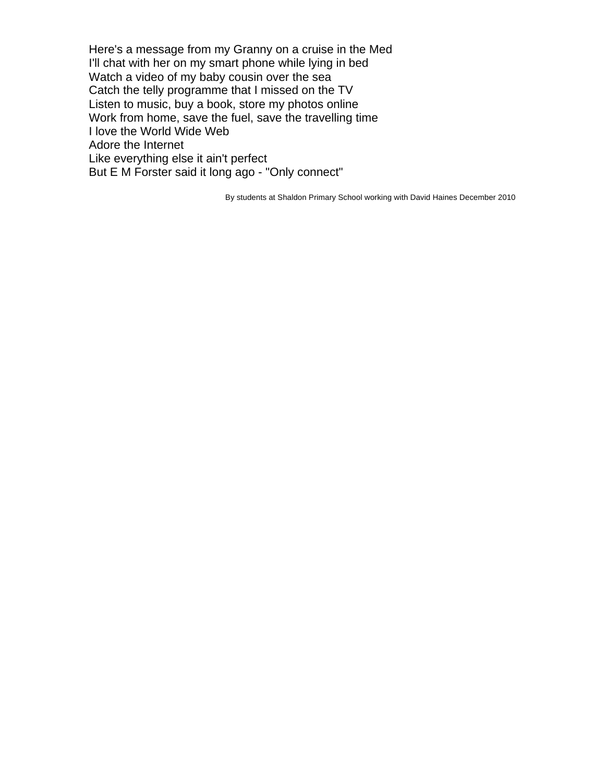Here's a message from my Granny on a cruise in the Med I'll chat with her on my smart phone while lying in bed Watch a video of my baby cousin over the sea Catch the telly programme that I missed on the TV Listen to music, buy a book, store my photos online Work from home, save the fuel, save the travelling time I love the World Wide Web Adore the Internet Like everything else it ain't perfect But E M Forster said it long ago - "Only connect"

By students at Shaldon Primary School working with David Haines December 2010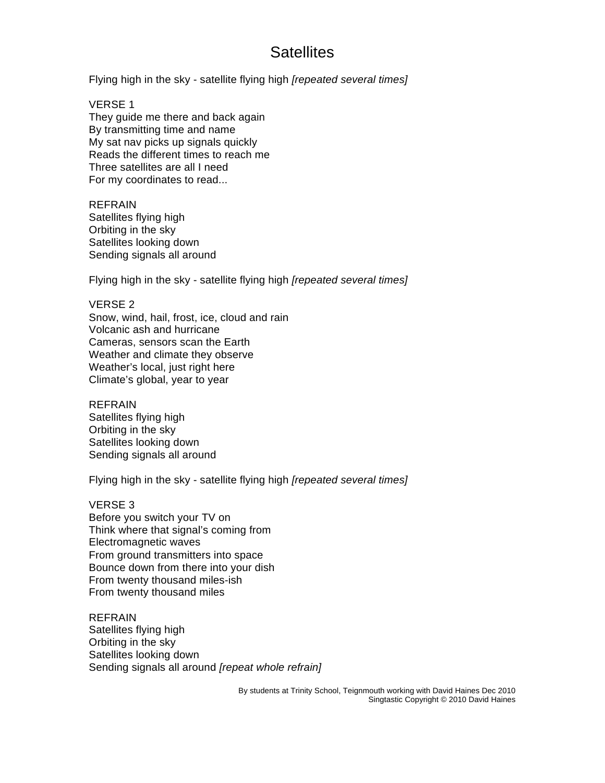# **Satellites**

Flying high in the sky - satellite flying high *[repeated several times]*

VERSE 1 They guide me there and back again By transmitting time and name My sat nav picks up signals quickly Reads the different times to reach me Three satellites are all I need For my coordinates to read...

REFRAIN Satellites flying high Orbiting in the sky Satellites looking down Sending signals all around

Flying high in the sky - satellite flying high *[repeated several times]*

### VERSE 2

Snow, wind, hail, frost, ice, cloud and rain Volcanic ash and hurricane Cameras, sensors scan the Earth Weather and climate they observe Weather's local, just right here Climate's global, year to year

REFRAIN

Satellites flying high Orbiting in the sky Satellites looking down Sending signals all around

Flying high in the sky - satellite flying high *[repeated several times]*

VERSE 3

Before you switch your TV on Think where that signal's coming from Electromagnetic waves From ground transmitters into space Bounce down from there into your dish From twenty thousand miles-ish From twenty thousand miles

REFRAIN Satellites flying high Orbiting in the sky Satellites looking down Sending signals all around *[repeat whole refrain]*

> By students at Trinity School, Teignmouth working with David Haines Dec 2010 Singtastic Copyright © 2010 David Haines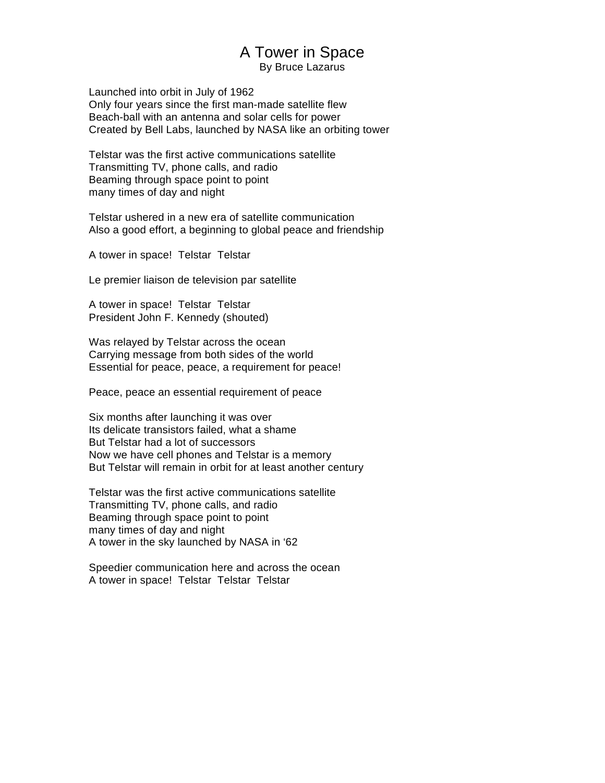# A Tower in Space

By Bruce Lazarus

Launched into orbit in July of 1962 Only four years since the first man-made satellite flew Beach-ball with an antenna and solar cells for power Created by Bell Labs, launched by NASA like an orbiting tower

Telstar was the first active communications satellite Transmitting TV, phone calls, and radio Beaming through space point to point many times of day and night

Telstar ushered in a new era of satellite communication Also a good effort, a beginning to global peace and friendship

A tower in space! Telstar Telstar

Le premier liaison de television par satellite

A tower in space! Telstar Telstar President John F. Kennedy (shouted)

Was relayed by Telstar across the ocean Carrying message from both sides of the world Essential for peace, peace, a requirement for peace!

Peace, peace an essential requirement of peace

Six months after launching it was over Its delicate transistors failed, what a shame But Telstar had a lot of successors Now we have cell phones and Telstar is a memory But Telstar will remain in orbit for at least another century

Telstar was the first active communications satellite Transmitting TV, phone calls, and radio Beaming through space point to point many times of day and night A tower in the sky launched by NASA in '62

Speedier communication here and across the ocean A tower in space! Telstar Telstar Telstar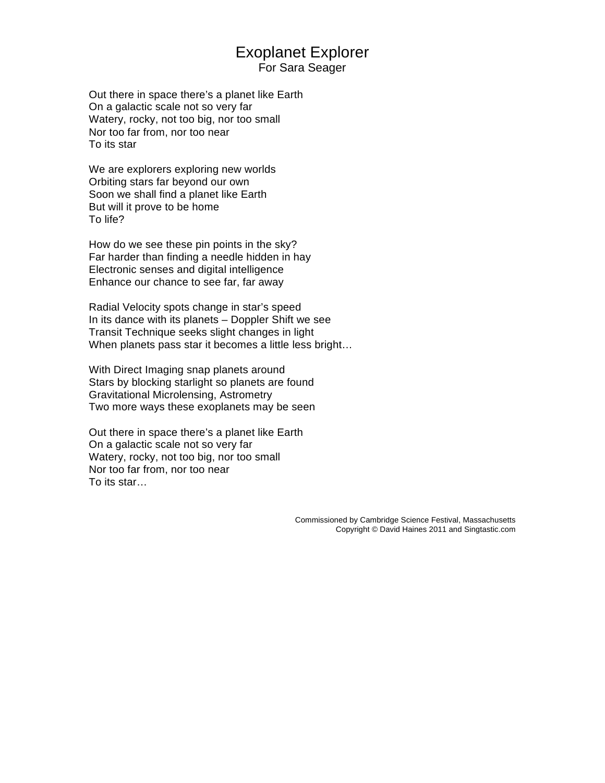# Exoplanet Explorer

For Sara Seager

Out there in space there's a planet like Earth On a galactic scale not so very far Watery, rocky, not too big, nor too small Nor too far from, nor too near To its star

We are explorers exploring new worlds Orbiting stars far beyond our own Soon we shall find a planet like Earth But will it prove to be home To life?

How do we see these pin points in the sky? Far harder than finding a needle hidden in hay Electronic senses and digital intelligence Enhance our chance to see far, far away

Radial Velocity spots change in star's speed In its dance with its planets – Doppler Shift we see Transit Technique seeks slight changes in light When planets pass star it becomes a little less bright…

With Direct Imaging snap planets around Stars by blocking starlight so planets are found Gravitational Microlensing, Astrometry Two more ways these exoplanets may be seen

Out there in space there's a planet like Earth On a galactic scale not so very far Watery, rocky, not too big, nor too small Nor too far from, nor too near To its star…

> Commissioned by Cambridge Science Festival, Massachusetts Copyright © David Haines 2011 and Singtastic.com